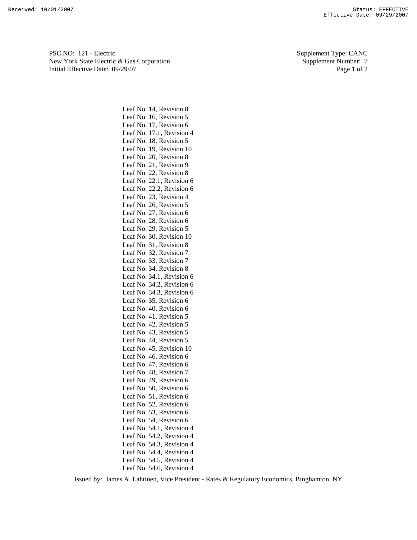PSC NO: 121 - Electric Supplement Type: CANC New York State Electric & Gas Corporation Supplement Number: 7 Initial Effective Date:  $09/29/07$  Page 1 of 2

Leaf No. 14, Revision 8 Leaf No. 16, Revision 5 Leaf No. 17, Revision 6 Leaf No. 17.1, Revision 4 Leaf No. 18, Revision 5 Leaf No. 19, Revision 10 Leaf No. 20, Revision 8 Leaf No. 21, Revision 9 Leaf No. 22, Revision 8 Leaf No. 22.1, Revision 6 Leaf No. 22.2, Revision 6 Leaf No. 23, Revision 4 Leaf No. 26, Revision 5 Leaf No. 27, Revision 6 Leaf No. 28, Revision 6 Leaf No. 29, Revision 5 Leaf No. 30, Revision 10 Leaf No. 31, Revision 8 Leaf No. 32, Revision 7 Leaf No. 33, Revision 7 Leaf No. 34, Revision 8 Leaf No. 34.1, Revision 6 Leaf No. 34.2, Revision 6 Leaf No. 34.3, Revision 6 Leaf No. 35, Revision 6 Leaf No. 40, Revision 6 Leaf No. 41, Revision 5 Leaf No. 42, Revision 5 Leaf No. 43, Revision 5 Leaf No. 44, Revision 5 Leaf No. 45, Revision 10 Leaf No. 46, Revision 6 Leaf No. 47, Revision 6 Leaf No. 48, Revision 7 Leaf No. 49, Revision 6 Leaf No. 50, Revision 6 Leaf No. 51, Revision 6 Leaf No. 52, Revision 6 Leaf No. 53, Revision 6 Leaf No. 54, Revision 6 Leaf No. 54.1, Revision 4 Leaf No. 54.2, Revision 4 Leaf No. 54.3, Revision 4 Leaf No. 54.4, Revision 4 Leaf No. 54.5, Revision 4 Leaf No. 54.6, Revision 4

Issued by: James A. Lahtinen, Vice President - Rates & Regulatory Economics, Binghamton, NY